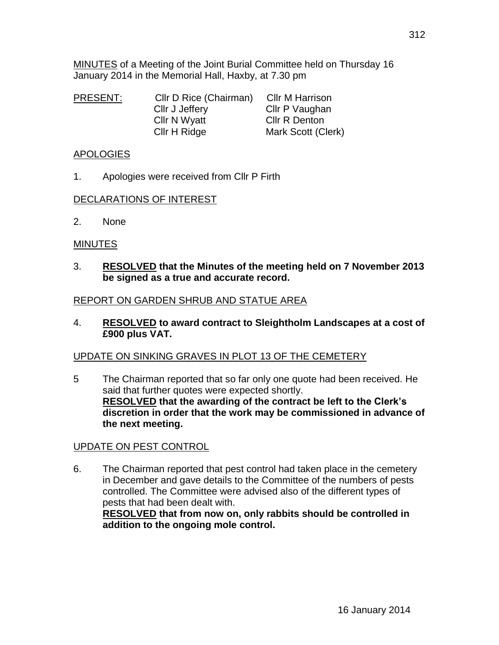| <b>PRESENT:</b> | Cllr D Rice (Chairman) | <b>CIIr M Harrison</b> |
|-----------------|------------------------|------------------------|
|                 | Cllr J Jeffery         | Cllr P Vaughan         |
|                 | <b>CIIr N Wyatt</b>    | Cllr R Denton          |
|                 | Cllr H Ridge           | Mark Scott (Clerk)     |

January 2014 in the Memorial Hall, Haxby, at 7.30 pm

#### APOLOGIES

1. Apologies were received from Cllr P Firth

#### DECLARATIONS OF INTEREST

2. None

#### **MINUTES**

3. **RESOLVED that the Minutes of the meeting held on 7 November 2013 be signed as a true and accurate record.**

### REPORT ON GARDEN SHRUB AND STATUE AREA

4. **RESOLVED to award contract to Sleightholm Landscapes at a cost of £900 plus VAT.**

## UPDATE ON SINKING GRAVES IN PLOT 13 OF THE CEMETERY

5 The Chairman reported that so far only one quote had been received. He said that further quotes were expected shortly. **RESOLVED that the awarding of the contract be left to the Clerk's discretion in order that the work may be commissioned in advance of the next meeting.**

## UPDATE ON PEST CONTROL

6. The Chairman reported that pest control had taken place in the cemetery in December and gave details to the Committee of the numbers of pests controlled. The Committee were advised also of the different types of pests that had been dealt with.

**RESOLVED that from now on, only rabbits should be controlled in addition to the ongoing mole control.**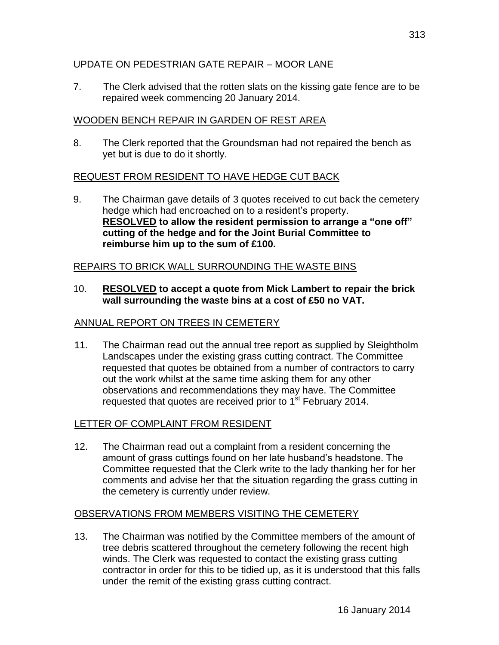## UPDATE ON PEDESTRIAN GATE REPAIR – MOOR LANE

7. The Clerk advised that the rotten slats on the kissing gate fence are to be repaired week commencing 20 January 2014.

# WOODEN BENCH REPAIR IN GARDEN OF REST AREA

8. The Clerk reported that the Groundsman had not repaired the bench as yet but is due to do it shortly.

# REQUEST FROM RESIDENT TO HAVE HEDGE CUT BACK

9. The Chairman gave details of 3 quotes received to cut back the cemetery hedge which had encroached on to a resident's property. **RESOLVED to allow the resident permission to arrange a "one off" cutting of the hedge and for the Joint Burial Committee to reimburse him up to the sum of £100.**

# REPAIRS TO BRICK WALL SURROUNDING THE WASTE BINS

10. **RESOLVED to accept a quote from Mick Lambert to repair the brick wall surrounding the waste bins at a cost of £50 no VAT.**

# ANNUAL REPORT ON TREES IN CEMETERY

 11. The Chairman read out the annual tree report as supplied by Sleightholm Landscapes under the existing grass cutting contract. The Committee requested that quotes be obtained from a number of contractors to carry out the work whilst at the same time asking them for any other observations and recommendations they may have. The Committee requested that quotes are received prior to  $1<sup>st</sup>$  February 2014.

## LETTER OF COMPLAINT FROM RESIDENT

 12. The Chairman read out a complaint from a resident concerning the amount of grass cuttings found on her late husband's headstone. The Committee requested that the Clerk write to the lady thanking her for her comments and advise her that the situation regarding the grass cutting in the cemetery is currently under review.

## OBSERVATIONS FROM MEMBERS VISITING THE CEMETERY

 13. The Chairman was notified by the Committee members of the amount of tree debris scattered throughout the cemetery following the recent high winds. The Clerk was requested to contact the existing grass cutting contractor in order for this to be tidied up, as it is understood that this falls under the remit of the existing grass cutting contract.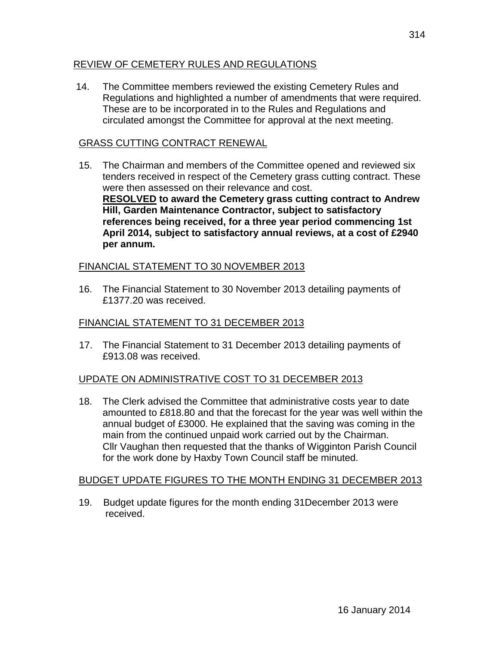## REVIEW OF CEMETERY RULES AND REGULATIONS

14. The Committee members reviewed the existing Cemetery Rules and Regulations and highlighted a number of amendments that were required. These are to be incorporated in to the Rules and Regulations and circulated amongst the Committee for approval at the next meeting.

## GRASS CUTTING CONTRACT RENEWAL

 15. The Chairman and members of the Committee opened and reviewed six tenders received in respect of the Cemetery grass cutting contract. These were then assessed on their relevance and cost. **RESOLVED to award the Cemetery grass cutting contract to Andrew Hill, Garden Maintenance Contractor, subject to satisfactory references being received, for a three year period commencing 1st April 2014, subject to satisfactory annual reviews, at a cost of £2940 per annum.**

## FINANCIAL STATEMENT TO 30 NOVEMBER 2013

 16. The Financial Statement to 30 November 2013 detailing payments of £1377.20 was received.

## FINANCIAL STATEMENT TO 31 DECEMBER 2013

17. The Financial Statement to 31 December 2013 detailing payments of £913.08 was received.

## UPDATE ON ADMINISTRATIVE COST TO 31 DECEMBER 2013

 18. The Clerk advised the Committee that administrative costs year to date amounted to £818.80 and that the forecast for the year was well within the annual budget of £3000. He explained that the saving was coming in the main from the continued unpaid work carried out by the Chairman. Cllr Vaughan then requested that the thanks of Wigginton Parish Council for the work done by Haxby Town Council staff be minuted.

## BUDGET UPDATE FIGURES TO THE MONTH ENDING 31 DECEMBER 2013

 19. Budget update figures for the month ending 31December 2013 were received.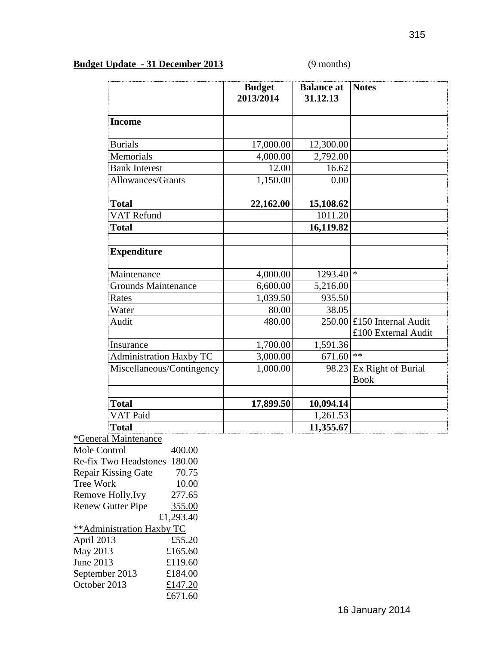# **Budget Update - 31 December 2013** (9 months)

|                                | <b>Budget</b><br>2013/2014 | <b>Balance</b> at<br>31.12.13 | <b>Notes</b>                               |
|--------------------------------|----------------------------|-------------------------------|--------------------------------------------|
| <b>Income</b>                  |                            |                               |                                            |
| <b>Burials</b>                 | 17,000.00                  | 12,300.00                     |                                            |
| Memorials                      | 4,000.00                   | 2,792.00                      |                                            |
| <b>Bank Interest</b>           | 12.00                      | 16.62                         |                                            |
| Allowances/Grants              | 1,150.00                   | 0.00                          |                                            |
| <b>Total</b>                   | 22,162.00                  | 15,108.62                     |                                            |
| <b>VAT Refund</b>              |                            | 1011.20                       |                                            |
| <b>Total</b>                   |                            | 16,119.82                     |                                            |
| <b>Expenditure</b>             |                            |                               |                                            |
| Maintenance                    | 4,000.00                   | 1293.40                       | $\ast$                                     |
| Grounds Maintenance            | 6,600.00                   | 5,216.00                      |                                            |
| Rates                          | 1,039.50                   | 935.50                        |                                            |
| Water                          | 80.00                      | 38.05                         |                                            |
| Audit                          | 480.00                     | 250.00                        | £150 Internal Audit<br>£100 External Audit |
| Insurance                      | 1,700.00                   | 1,591.36                      |                                            |
| <b>Administration Haxby TC</b> | 3,000.00                   | 671.60                        | $**$                                       |
| Miscellaneous/Contingency      | 1,000.00                   | 98.23                         | Ex Right of Burial<br><b>Book</b>          |
|                                |                            |                               |                                            |
| <b>Total</b>                   | 17,899.50                  | 10,094.14                     |                                            |
| VAT Paid                       |                            | 1,261.53                      |                                            |
| <b>Total</b>                   |                            | 11,355.67                     |                                            |

| *General Maintenance       |           |
|----------------------------|-----------|
| Mole Control               | 400.00    |
| Re-fix Two Headstones      | 180.00    |
| <b>Repair Kissing Gate</b> | 70.75     |
| <b>Tree Work</b>           | 10.00     |
| Remove Holly, Ivy          | 277.65    |
| <b>Renew Gutter Pipe</b>   | 355.00    |
|                            | £1,293.40 |
| ** Administration Haxby TC |           |
| April 2013                 | £55.20    |
| May 2013                   | £165.60   |
| June 2013                  | £119.60   |
| September 2013             | £184.00   |
| October 2013               | £147.20   |
|                            | £671.60   |